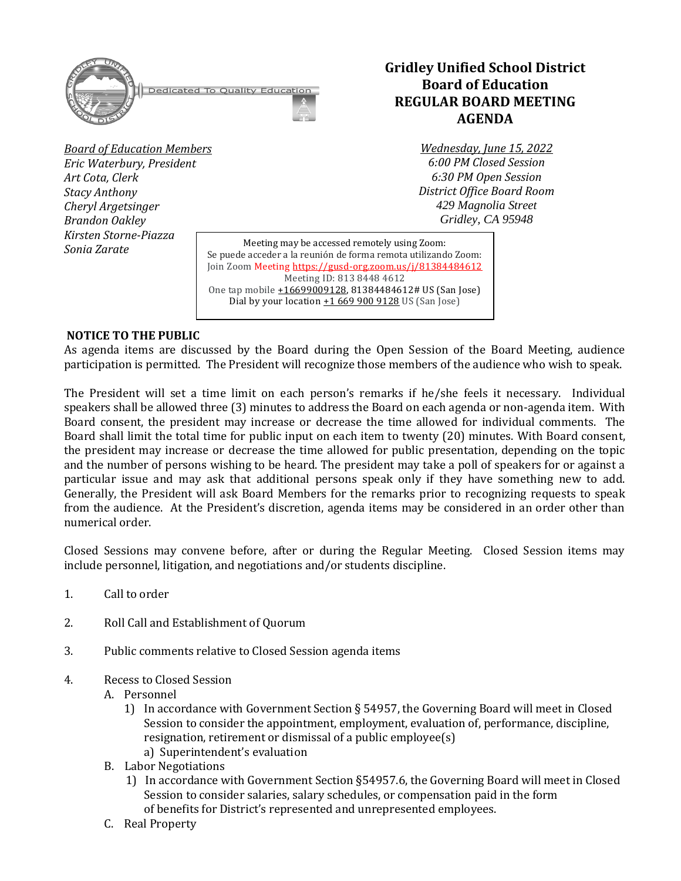

*Board of Education Members Eric Waterbury, President Art Cota, Clerk Stacy Anthony Cheryl Argetsinger Brandon Oakley Kirsten Storne-Piazza Sonia Zarate*

# **Gridley Unified School District Board of Education REGULAR BOARD MEETING AGENDA**

*Wednesday, June 15, 2022 6:00 PM Closed Session 6:30 PM Open Session District Office Board Room 429 Magnolia Street Gridley, CA 95948*

Meeting may be accessed remotely using Zoom: Se puede acceder a la reunión de forma remota utilizando Zoom: Join Zoom Meeting<https://gusd-org.zoom.us/j/81384484612> Meeting ID: 813 8448 4612 One tap mobile [+16699009128,](tel:+16699009128) 81384484612# US (San Jose) Dial by your location [+1 669 900 9128](tel:+1%20669%20900%209128) US (San Jose)

#### **NOTICE TO THE PUBLIC**

As agenda items are discussed by the Board during the Open Session of the Board Meeting, audience participation is permitted. The President will recognize those members of the audience who wish to speak.

The President will set a time limit on each person's remarks if he/she feels it necessary. Individual speakers shall be allowed three (3) minutes to address the Board on each agenda or non-agenda item. With Board consent, the president may increase or decrease the time allowed for individual comments. The Board shall limit the total time for public input on each item to twenty (20) minutes. With Board consent, the president may increase or decrease the time allowed for public presentation, depending on the topic and the number of persons wishing to be heard. The president may take a poll of speakers for or against a particular issue and may ask that additional persons speak only if they have something new to add. Generally, the President will ask Board Members for the remarks prior to recognizing requests to speak from the audience. At the President's discretion, agenda items may be considered in an order other than numerical order.

Closed Sessions may convene before, after or during the Regular Meeting. Closed Session items may include personnel, litigation, and negotiations and/or students discipline.

- 1. Call to order
- 2. Roll Call and Establishment of Quorum
- 3. Public comments relative to Closed Session agenda items
- 4. Recess to Closed Session
	- A. Personnel
		- 1) In accordance with Government Section § 54957, the Governing Board will meet in Closed Session to consider the appointment, employment, evaluation of, performance, discipline, resignation, retirement or dismissal of a public employee(s) a) Superintendent's evaluation
	- B. Labor Negotiations
		- 1) In accordance with Government Section §54957.6, the Governing Board will meet in Closed Session to consider salaries, salary schedules, or compensation paid in the form of benefits for District's represented and unrepresented employees.
	- C. Real Property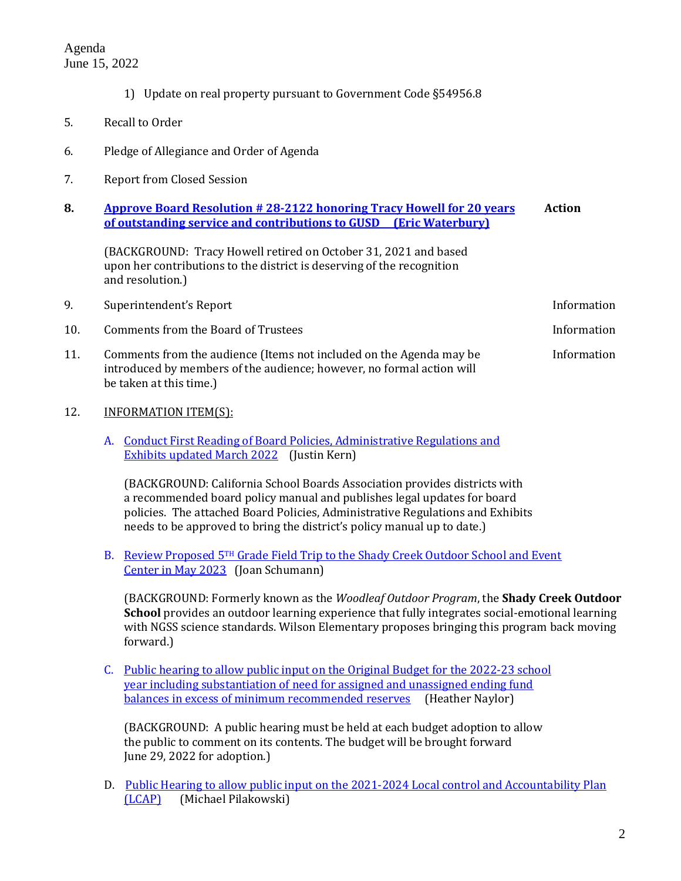- 1) Update on real property pursuant to Government Code §54956.8
- 5. Recall to Order
- 6. Pledge of Allegiance and Order of Agenda
- 7. Report from Closed Session
- **8. [Approve Board Resolution # 28-2122 honoring Tracy Howell for 20 years](http://www.gusd.org/documents/Agendas%20and%20Minutes/2021-22/June%2015%202022/8-BR-28-2122-Tracy-Howell.pdf) Action [of outstanding service and contributions to GUSD \(Eric Waterbury\)](http://www.gusd.org/documents/Agendas%20and%20Minutes/2021-22/June%2015%202022/8-BR-28-2122-Tracy-Howell.pdf)**

(BACKGROUND: Tracy Howell retired on October 31, 2021 and based upon her contributions to the district is deserving of the recognition and resolution.)

- ermies and the superintendent's Report in the set of the set of the set of the set of the set of the set of the set of the set of the set of the set of the set of the set of the set of the set of the set of the set of the 10. Comments from the Board of Trustees **Information** is the set of the Information 11. Comments from the audience (Items not included on the Agenda may be Information introduced by members of the audience; however, no formal action will be taken at this time.)
- 12. **INFORMATION ITEM(S):** 
	- A. [Conduct First Reading of Board Policies, Administrative Regulations and](http://www.gusd.org/documents/Agendas%20and%20Minutes/2021-22/June%2015%202022/12A-Board-updates-March-2022.pdf) [Exhibits updated March 2022](http://www.gusd.org/documents/Agendas%20and%20Minutes/2021-22/June%2015%202022/12A-Board-updates-March-2022.pdf) (Justin Kern)

(BACKGROUND: California School Boards Association provides districts with a recommended board policy manual and publishes legal updates for board policies. The attached Board Policies, Administrative Regulations and Exhibits needs to be approved to bring the district's policy manual up to date.)

B. Review Proposed 5<sup>TH</sup> [Grade Field Trip to the Shady Creek Outdoor School and Event](http://www.gusd.org/documents/Agendas%20and%20Minutes/2021-22/June%2015%202022/12B-Annotation-Shady-Creek.docx.pdf) [Center in May 2023](http://www.gusd.org/documents/Agendas%20and%20Minutes/2021-22/June%2015%202022/12B-Annotation-Shady-Creek.docx.pdf) (Joan Schumann)

(BACKGROUND: Formerly known as the *Woodleaf Outdoor Program*, the **Shady Creek Outdoor School** provides an outdoor learning experience that fully integrates social-emotional learning with NGSS science standards. Wilson Elementary proposes bringing this program back moving forward.)

C. [Public hearing to allow public input on the Original Budget for the 2022-23](http://www.gusd.org/documents/Agendas%20and%20Minutes/2021-22/June%2015%202022/12C-Annotation_Original-2022-23-Public-Hearing.pdf) school [year including substantiation of need for assigned and unassigned ending fund](http://www.gusd.org/documents/Agendas%20and%20Minutes/2021-22/June%2015%202022/12C-Annotation_Original-2022-23-Public-Hearing.pdf)  [balances in excess of minimum recommended reserves](http://www.gusd.org/documents/Agendas%20and%20Minutes/2021-22/June%2015%202022/12C-Annotation_Original-2022-23-Public-Hearing.pdf) (Heather Naylor)

(BACKGROUND: A public hearing must be held at each budget adoption to allow the public to comment on its contents. The budget will be brought forward June 29, 2022 for adoption.)

D. [Public Hearing to allow public input on the 2021-2024](http://www.gusd.org/documents/Agendas%20and%20Minutes/2021-22/June%2015%202022/12D-Annotation_LCAP-Hearing.pdf) Local control and Accountability Plan [\(LCAP\)](http://www.gusd.org/documents/Agendas%20and%20Minutes/2021-22/June%2015%202022/12D-Annotation_LCAP-Hearing.pdf) (Michael Pilakowski)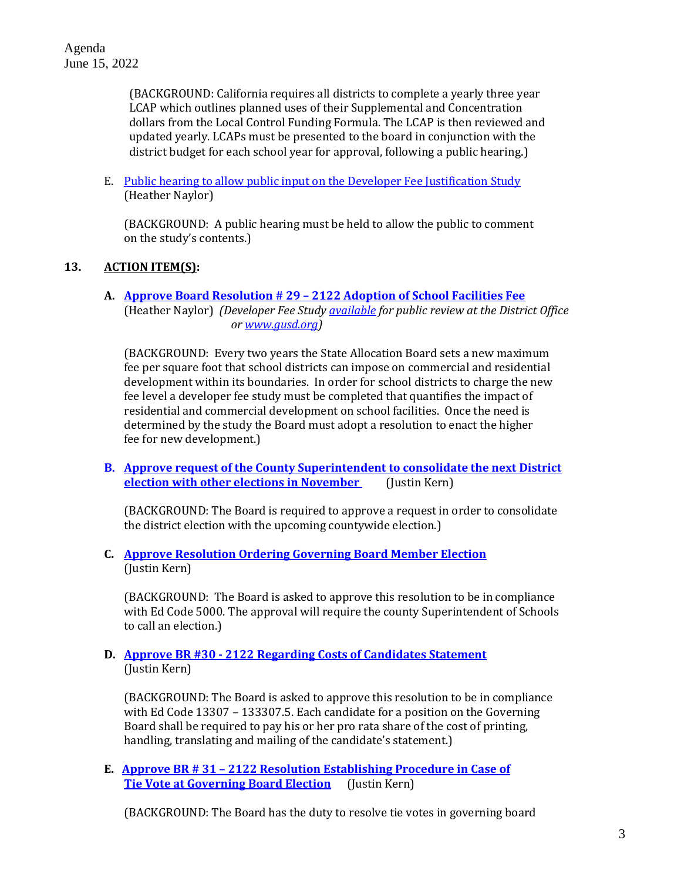(BACKGROUND: California requires all districts to complete a yearly three year LCAP which outlines planned uses of their Supplemental and Concentration dollars from the Local Control Funding Formula. The LCAP is then reviewed and updated yearly. LCAPs must be presented to the board in conjunction with the district budget for each school year for approval, following a public hearing.)

E. [Public hearing to allow public input on the Developer Fee Justification Study](http://www.gusd.org/documents/Agendas%20and%20Minutes/2021-22/June%2015%202022/12E-Developer-fee-public-hearing.pdf) (Heather Naylor)

(BACKGROUND: A public hearing must be held to allow the public to comment on the study's contents.)

# **13. ACTION ITEM(S):**

**A. Approve Board Resolution # 29 – [2122 Adoption of School Facilities Fee](http://www.gusd.org/documents/Agendas%20and%20Minutes/2021-22/June%2015%202022/13A-Annotation-BR-29-2122-Developer-Fee-Adoption.pdf)** (Heather Naylor) *(Developer Fee Study [available](http://www.gusd.org/documents/Agendas%20and%20Minutes/2021-22/June%2015%202022/13A-Annotation-BR-29-2122-Developer-Fee-Adoption.pdf) for public review at the District Office or [www.gusd.org\)](http://www.gusd.org/)* 

(BACKGROUND: Every two years the State Allocation Board sets a new maximum fee per square foot that school districts can impose on commercial and residential development within its boundaries. In order for school districts to charge the new fee level a developer fee study must be completed that quantifies the impact of residential and commercial development on school facilities. Once the need is determined by the study the Board must adopt a resolution to enact the higher fee for new development.)

**B. [Approve request of the County Superintendent to consolidate the next District](http://www.gusd.org/documents/Agendas%20and%20Minutes/2021-22/June%2015%202022/13B-Consolidate-Elections.pdf) election with other elections in November** (Justin Kern)

(BACKGROUND: The Board is required to approve a request in order to consolidate the district election with the upcoming countywide election.)

**C. [Approve Resolution Ordering Governing Board Member Election](http://www.gusd.org/documents/Agendas%20and%20Minutes/2021-22/June%2015%202022/13C-Order-of-Election.pdf)**  (Justin Kern)

(BACKGROUND: The Board is asked to approve this resolution to be in compliance with Ed Code 5000. The approval will require the county Superintendent of Schools to call an election.)

#### **D. Approve BR #30 - 2122 [Regarding Costs of Candidates Statement](http://www.gusd.org/documents/Agendas%20and%20Minutes/2021-22/June%2015%202022/13D-BR-30-2122-Candidate-Cost-Resolution.pdf)**  (Justin Kern)

(BACKGROUND: The Board is asked to approve this resolution to be in compliance with Ed Code 13307 – 133307.5. Each candidate for a position on the Governing Board shall be required to pay his or her pro rata share of the cost of printing, handling, translating and mailing of the candidate's statement.)

**E. Approve BR # 31 – [2122 Resolution Establishing Procedure in Case of](http://www.gusd.org/documents/Agendas%20and%20Minutes/2021-22/June%2015%202022/13E-BR-31-2122-Tie-Vote-Resolution.pdf) [Tie Vote at Governing Board Election](http://www.gusd.org/documents/Agendas%20and%20Minutes/2021-22/June%2015%202022/13E-BR-31-2122-Tie-Vote-Resolution.pdf)** (Justin Kern)

(BACKGROUND: The Board has the duty to resolve tie votes in governing board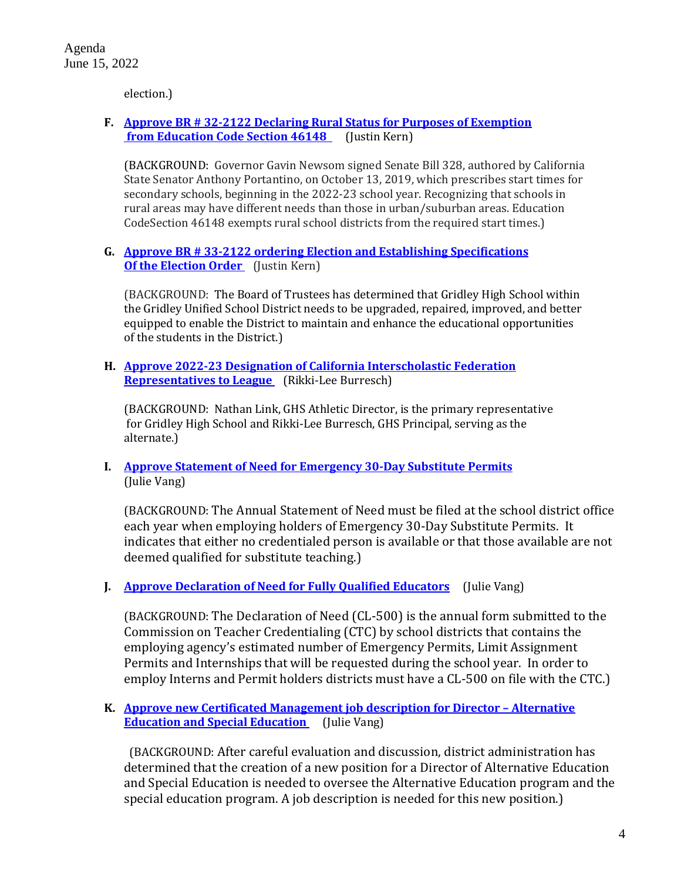election.)

## **F. [Approve BR # 32-2122 Declaring Rural Status for Purposes of Exemption](http://www.gusd.org/documents/Agendas%20and%20Minutes/2021-22/June%2015%202022/13F-BR-32-2122-Resolution-for-rural-status.pdf) [from Education Code Section 46148](http://www.gusd.org/documents/Agendas%20and%20Minutes/2021-22/June%2015%202022/13F-BR-32-2122-Resolution-for-rural-status.pdf)** (Justin Kern)

(BACKGROUND: Governor Gavin Newsom signed Senate Bill 328, authored by California State Senator Anthony Portantino, on October 13, 2019, which prescribes start times for secondary schools, beginning in the 2022-23 school year. Recognizing that schools in rural areas may have different needs than those in urban/suburban areas. Education CodeSection 46148 exempts rural school districts from the required start times.)

## **G. [Approve BR # 33-2122 ordering Election and Establishing Specifications](http://www.gusd.org/documents/Agendas%20and%20Minutes/2021-22/June%2015%202022/13G-BR-33-2122-Ordering-election-and-establish-specifications.pdf) Of the Election Order** (Justin Kern)

(BACKGROUND: The Board of Trustees has determined that Gridley High School within the Gridley Unified School District needs to be upgraded, repaired, improved, and better equipped to enable the District to maintain and enhance the educational opportunities of the students in the District.)

**H. [Approve 2022-23 Designation of California Interscholastic Federation](http://www.gusd.org/documents/Agendas%20and%20Minutes/2021-22/June%2015%202022/13H-Designation-of-CIF-representatives.pdf)  [Representatives to League](http://www.gusd.org/documents/Agendas%20and%20Minutes/2021-22/June%2015%202022/13H-Designation-of-CIF-representatives.pdf)** (Rikki-Lee Burresch)

(BACKGROUND: Nathan Link, GHS Athletic Director, is the primary representative for Gridley High School and Rikki-Lee Burresch, GHS Principal, serving as the alternate.)

## **I. [Approve Statement of Need for Emergency 30-Day Substitute Permits](http://www.gusd.org/documents/Agendas%20and%20Minutes/2021-22/June%2015%202022/13I-Statement-of-Need.pdf)**  (Julie Vang)

(BACKGROUND: The Annual Statement of Need must be filed at the school district office each year when employing holders of Emergency 30-Day Substitute Permits. It indicates that either no credentialed person is available or that those available are not deemed qualified for substitute teaching.)

**J. [Approve Declaration of Need for Fully Qualified Educators](http://www.gusd.org/documents/Agendas%20and%20Minutes/2021-22/June%2015%202022/13J-Declaration-of-Need.pdf)** (Julie Vang)

(BACKGROUND: The Declaration of Need (CL-500) is the annual form submitted to the Commission on Teacher Credentialing (CTC) by school districts that contains the employing agency's estimated number of Emergency Permits, Limit Assignment Permits and Internships that will be requested during the school year. In order to employ Interns and Permit holders districts must have a CL-500 on file with the CTC.)

# **K. [Approve new Certificated Management job description for Director](http://www.gusd.org/documents/Agendas%20and%20Minutes/2021-22/June%2015%202022/13K-Director-of-Alt-Ed-Sped-Job-Description.pdf) – Alternative Education and Special Education** (Julie Vang)

 (BACKGROUND: After careful evaluation and discussion, district administration has determined that the creation of a new position for a Director of Alternative Education and Special Education is needed to oversee the Alternative Education program and the special education program. A job description is needed for this new position.)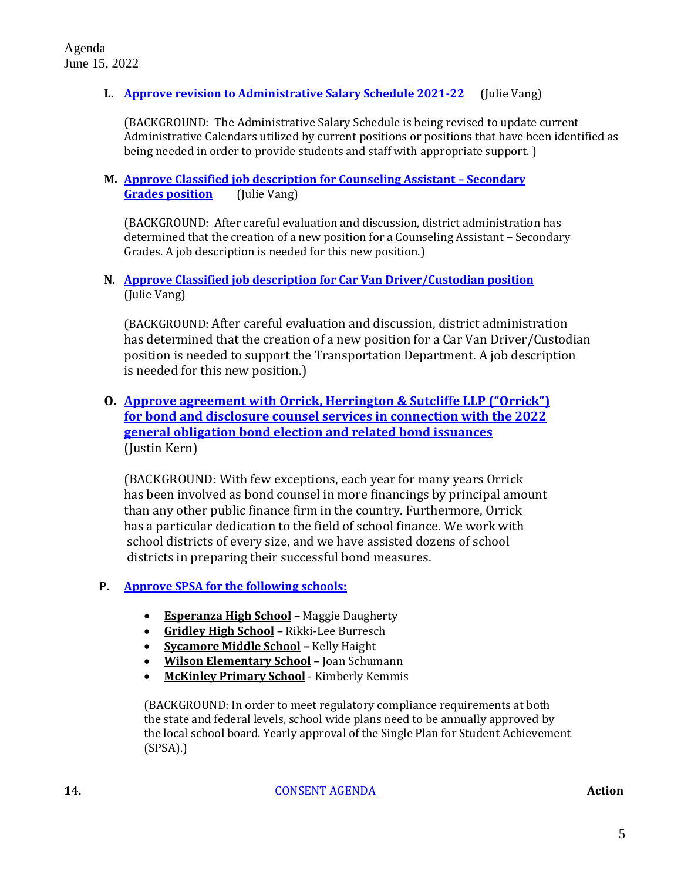**L. [Approve revision to Administrative Salary Schedule 2021-22](http://www.gusd.org/documents/Agendas%20and%20Minutes/2021-22/June%2015%202022/13L-Revision-to-administrative-salary-schedule.pdf)** (Julie Vang)

(BACKGROUND: The Administrative Salary Schedule is being revised to update current Administrative Calendars utilized by current positions or positions that have been identified as being needed in order to provide students and staff with appropriate support. )

#### **M. Approve Classified [job description for Counseling Assistant](http://www.gusd.org/documents/Agendas%20and%20Minutes/2021-22/June%2015%202022/13M-Counseling-assistant-job-description.pdf) – Secondary [Grades position](http://www.gusd.org/documents/Agendas%20and%20Minutes/2021-22/June%2015%202022/13M-Counseling-assistant-job-description.pdf)** (Julie Vang)

(BACKGROUND: After careful evaluation and discussion, district administration has determined that the creation of a new position for a Counseling Assistant – Secondary Grades. A job description is needed for this new position.)

**N. [Approve Classified job description for Car Van Driver/Custodian position](http://www.gusd.org/documents/Agendas%20and%20Minutes/2021-22/June%2015%202022/13N-Car-Van-Driver-Custodian-job-description.pdf)** (Julie Vang)

(BACKGROUND: After careful evaluation and discussion, district administration has determined that the creation of a new position for a Car Van Driver/Custodian position is needed to support the Transportation Department. A job description is needed for this new position.)

**O. [Approve agreement with Orrick, Herrington & Sutcliffe LLP \("Orrick"\)](http://www.gusd.org/documents/Agendas%20and%20Minutes/2021-22/June%2015%202022/13O-Annotation-Bond-and-Disclosure-Counsel-Services.pdf)  [for bond and disclosure counsel services in connection with the 2022](http://www.gusd.org/documents/Agendas%20and%20Minutes/2021-22/June%2015%202022/13O-Annotation-Bond-and-Disclosure-Counsel-Services.pdf)  [general obligation bond election and related bond issuances](http://www.gusd.org/documents/Agendas%20and%20Minutes/2021-22/June%2015%202022/13O-Annotation-Bond-and-Disclosure-Counsel-Services.pdf)** (Justin Kern)

(BACKGROUND: With few exceptions, each year for many years Orrick has been involved as bond counsel in more financings by principal amount than any other public finance firm in the country. Furthermore, Orrick has a particular dedication to the field of school finance. We work with school districts of every size, and we have assisted dozens of school districts in preparing their successful bond measures.

#### **P. [Approve SPSA for the following schools:](http://www.gusd.org/documents/Agendas%20and%20Minutes/2021-22/June%2015%202022/13P-SPSA.pdf)**

- **[Esperanza High School](http://www.gusd.org/documents/Agendas%20and%20Minutes/2020-21/June%2016%202021/2021_School_Plan_for_Student_Achievement_Esperanza.pdf) –** Maggie Daugherty
- **[Gridley High School](http://www.gusd.org/documents/Agendas%20and%20Minutes/2020-21/June%2016%202021/2021_School_Plan_for_Student_Achievement_GHS.pdf) –** Rikki-Lee Burresch
- **[Sycamore Middle School](http://www.gusd.org/documents/Agendas%20and%20Minutes/2020-21/June%2016%202021/2021_School_Plan_for_Student_Achievement_Sycamore_Middle_School_20210609.pdf) –** Kelly Haight
- **[Wilson Elementary School](http://www.gusd.org/documents/Agendas%20and%20Minutes/2020-21/June%2016%202021/2021_School_Plan_for_Student_Achievement_Wilson_Elementary_School_20210609.pdf) –** Joan Schumann
- **[McKinley Primary School](http://www.gusd.org/documents/Agendas%20and%20Minutes/2020-21/June%2016%202021/2021_School_Plan_for_Student_Achievement_McKinley_Elementary_School_20210611.pdf)** Kimberly Kemmis

(BACKGROUND: In order to meet regulatory compliance requirements at both the state and federal levels, school wide plans need to be annually approved by the local school board. Yearly approval of the Single Plan for Student Achievement (SPSA).)

**14. CONSENT AGENDA Action**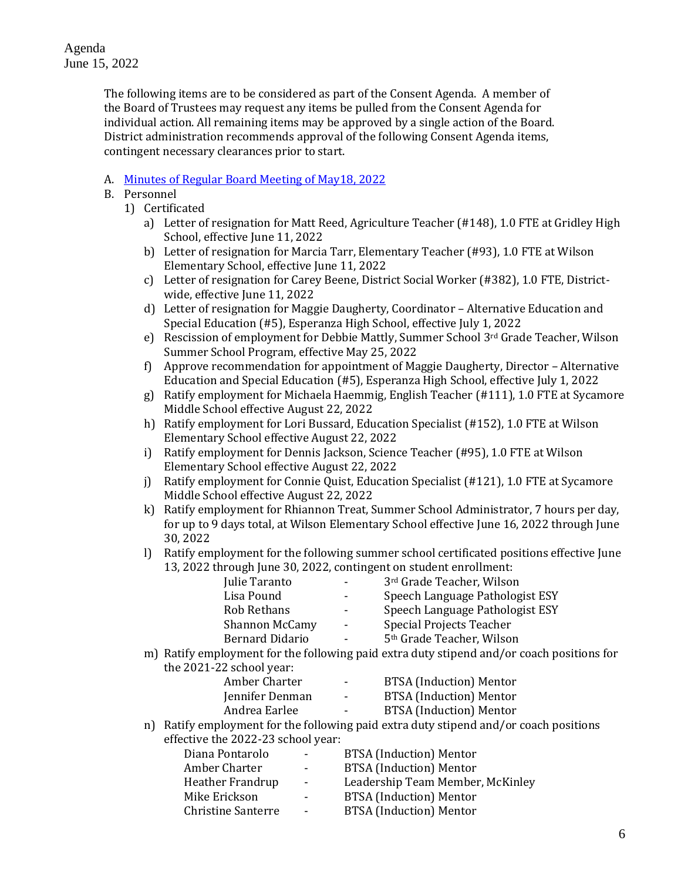The following items are to be considered as part of the Consent Agenda. A member of the Board of Trustees may request any items be pulled from the Consent Agenda for individual action. All remaining items may be approved by a single action of the Board. District administration recommends approval of the following Consent Agenda items, contingent necessary clearances prior to start.

- A. [Minutes of Regular Board Meeting of May18, 2022](http://www.gusd.org/documents/Agendas%20and%20Minutes/2021-22/June%2015%202022/Final-DRAFT-May-18-2022-Board-minutes.pdf)
- B. Personnel
	- 1) Certificated
		- a) Letter of resignation for Matt Reed, Agriculture Teacher (#148), 1.0 FTE at Gridley High School, effective June 11, 2022
		- b) Letter of resignation for Marcia Tarr, Elementary Teacher (#93), 1.0 FTE at Wilson Elementary School, effective June 11, 2022
		- c) Letter of resignation for Carey Beene, District Social Worker (#382), 1.0 FTE, Districtwide, effective June 11, 2022
		- d) Letter of resignation for Maggie Daugherty, Coordinator Alternative Education and Special Education (#5), Esperanza High School, effective July 1, 2022
		- e) Rescission of employment for Debbie Mattly, Summer School 3rd Grade Teacher, Wilson Summer School Program, effective May 25, 2022
		- f) Approve recommendation for appointment of Maggie Daugherty, Director Alternative Education and Special Education (#5), Esperanza High School, effective July 1, 2022
		- g) Ratify employment for Michaela Haemmig, English Teacher (#111), 1.0 FTE at Sycamore Middle School effective August 22, 2022
		- h) Ratify employment for Lori Bussard, Education Specialist (#152), 1.0 FTE at Wilson Elementary School effective August 22, 2022
		- i) Ratify employment for Dennis Jackson, Science Teacher (#95), 1.0 FTE at Wilson Elementary School effective August 22, 2022
		- j) Ratify employment for Connie Quist, Education Specialist (#121), 1.0 FTE at Sycamore Middle School effective August 22, 2022
		- k) Ratify employment for Rhiannon Treat, Summer School Administrator, 7 hours per day, for up to 9 days total, at Wilson Elementary School effective June 16, 2022 through June 30, 2022
		- l) Ratify employment for the following summer school certificated positions effective June 13, 2022 through June 30, 2022, contingent on student enrollment:

| Julie Taranto          | $\overline{\phantom{a}}$ | 3rd Grade Teacher, Wilson                                                                                 |
|------------------------|--------------------------|-----------------------------------------------------------------------------------------------------------|
| Lisa Pound             | ٠                        | Speech Language Pathologist ESY                                                                           |
| Rob Rethans            | ٠                        | Speech Language Pathologist ESY                                                                           |
| <b>Shannon McCamy</b>  | $\overline{\phantom{a}}$ | Special Projects Teacher                                                                                  |
| <b>Bernard Didario</b> | ۰                        | 5 <sup>th</sup> Grade Teacher, Wilson                                                                     |
|                        |                          | $A$ . The contract of $A$ is a set of $A$ is a set of $A$ is a set of $A$ is a set of $A$ is a set of $A$ |

m) Ratify employment for the following paid extra duty stipend and/or coach positions for the 2021-22 school year:

| $1 = 0$ chool $\gamma$ can $\gamma$ |                          |                                |
|-------------------------------------|--------------------------|--------------------------------|
| Amber Charter                       | $\blacksquare$           | <b>BTSA</b> (Induction) Mentor |
| Jennifer Denman                     | $\overline{\phantom{0}}$ | <b>BTSA</b> (Induction) Mentor |
| Andrea Earlee                       | $\overline{\phantom{0}}$ | <b>BTSA</b> (Induction) Mentor |

n) Ratify employment for the following paid extra duty stipend and/or coach positions effective the 2022-23 school year:

| Diana Pontarolo           | $\blacksquare$ | <b>BTSA</b> (Induction) Mentor   |
|---------------------------|----------------|----------------------------------|
| Amber Charter             | $\sim$         | <b>BTSA</b> (Induction) Mentor   |
| <b>Heather Frandrup</b>   | $\sim$ $-$     | Leadership Team Member, McKinley |
| Mike Erickson             | ۰              | <b>BTSA</b> (Induction) Mentor   |
| <b>Christine Santerre</b> | $\sim$         | <b>BTSA</b> (Induction) Mentor   |
|                           |                |                                  |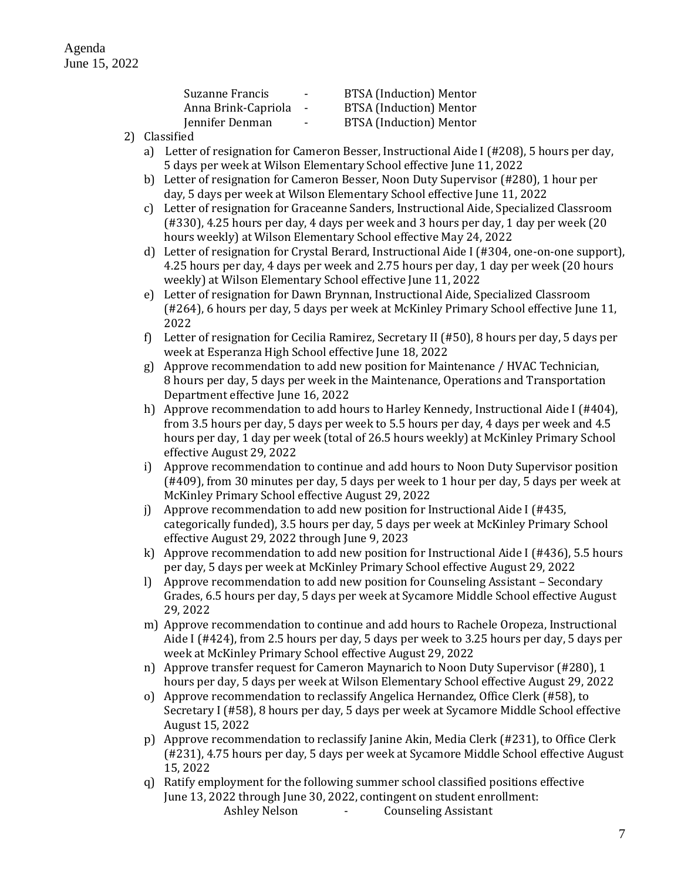| Suzanne Francis     | ۰      | <b>BTSA</b> (Induction) Mentor |
|---------------------|--------|--------------------------------|
| Anna Brink-Capriola | $\sim$ | <b>BTSA</b> (Induction) Mentor |
| Jennifer Denman     | ۰      | <b>BTSA</b> (Induction) Mentor |

- 2) Classified
	- a) Letter of resignation for Cameron Besser, Instructional Aide I (#208), 5 hours per day, 5 days per week at Wilson Elementary School effective June 11, 2022
	- b) Letter of resignation for Cameron Besser, Noon Duty Supervisor (#280), 1 hour per day, 5 days per week at Wilson Elementary School effective June 11, 2022
	- c) Letter of resignation for Graceanne Sanders, Instructional Aide, Specialized Classroom (#330), 4.25 hours per day, 4 days per week and 3 hours per day, 1 day per week (20 hours weekly) at Wilson Elementary School effective May 24, 2022
	- d) Letter of resignation for Crystal Berard, Instructional Aide I (#304, one-on-one support), 4.25 hours per day, 4 days per week and 2.75 hours per day, 1 day per week (20 hours weekly) at Wilson Elementary School effective June 11, 2022
	- e) Letter of resignation for Dawn Brynnan, Instructional Aide, Specialized Classroom (#264), 6 hours per day, 5 days per week at McKinley Primary School effective June 11, 2022
	- f) Letter of resignation for Cecilia Ramirez, Secretary II (#50), 8 hours per day, 5 days per week at Esperanza High School effective June 18, 2022
	- g) Approve recommendation to add new position for Maintenance / HVAC Technician, 8 hours per day, 5 days per week in the Maintenance, Operations and Transportation Department effective June 16, 2022
	- h) Approve recommendation to add hours to Harley Kennedy, Instructional Aide I (#404), from 3.5 hours per day, 5 days per week to 5.5 hours per day, 4 days per week and 4.5 hours per day, 1 day per week (total of 26.5 hours weekly) at McKinley Primary School effective August 29, 2022
	- i) Approve recommendation to continue and add hours to Noon Duty Supervisor position (#409), from 30 minutes per day, 5 days per week to 1 hour per day, 5 days per week at McKinley Primary School effective August 29, 2022
	- j) Approve recommendation to add new position for Instructional Aide I (#435, categorically funded), 3.5 hours per day, 5 days per week at McKinley Primary School effective August 29, 2022 through June 9, 2023
	- k) Approve recommendation to add new position for Instructional Aide I (#436), 5.5 hours per day, 5 days per week at McKinley Primary School effective August 29, 2022
	- l) Approve recommendation to add new position for Counseling Assistant Secondary Grades, 6.5 hours per day, 5 days per week at Sycamore Middle School effective August 29, 2022
	- m) Approve recommendation to continue and add hours to Rachele Oropeza, Instructional Aide I (#424), from 2.5 hours per day, 5 days per week to 3.25 hours per day, 5 days per week at McKinley Primary School effective August 29, 2022
	- n) Approve transfer request for Cameron Maynarich to Noon Duty Supervisor (#280), 1 hours per day, 5 days per week at Wilson Elementary School effective August 29, 2022
	- o) Approve recommendation to reclassify Angelica Hernandez, Office Clerk (#58), to Secretary I (#58), 8 hours per day, 5 days per week at Sycamore Middle School effective August 15, 2022
	- p) Approve recommendation to reclassify Janine Akin, Media Clerk (#231), to Office Clerk (#231), 4.75 hours per day, 5 days per week at Sycamore Middle School effective August 15, 2022
	- q) Ratify employment for the following summer school classified positions effective June 13, 2022 through June 30, 2022, contingent on student enrollment:

Ashley Nelson - Counseling Assistant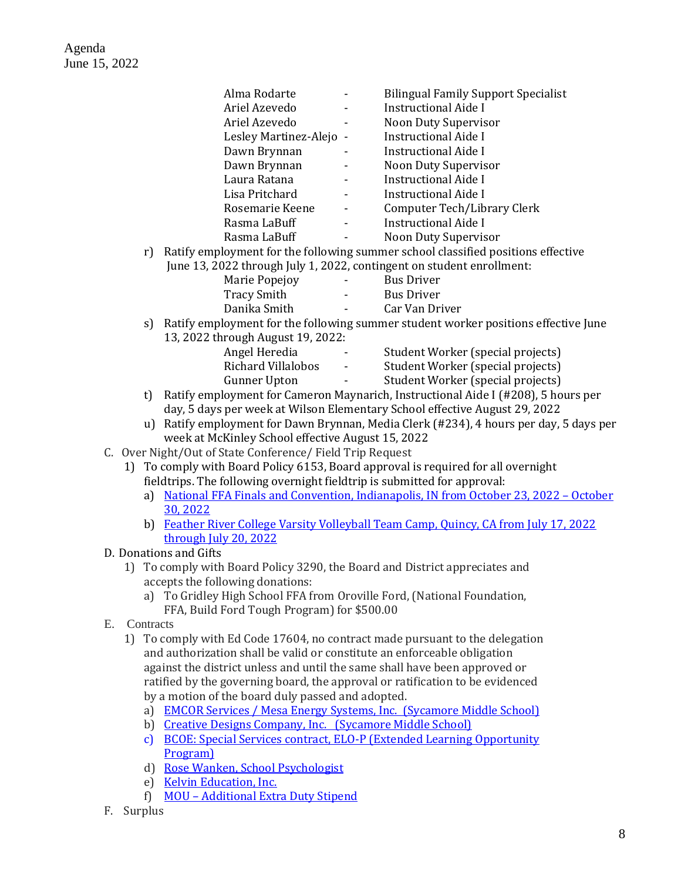|    | Alma Rodarte                                                                       |                          | <b>Bilingual Family Support Specialist</b>                                        |  |  |
|----|------------------------------------------------------------------------------------|--------------------------|-----------------------------------------------------------------------------------|--|--|
|    | Ariel Azevedo                                                                      |                          | <b>Instructional Aide I</b>                                                       |  |  |
|    | Ariel Azevedo                                                                      |                          | <b>Noon Duty Supervisor</b>                                                       |  |  |
|    | Lesley Martinez-Alejo -                                                            |                          | <b>Instructional Aide I</b>                                                       |  |  |
|    | Dawn Brynnan                                                                       |                          | <b>Instructional Aide I</b>                                                       |  |  |
|    | Dawn Brynnan                                                                       | $\overline{\phantom{a}}$ | Noon Duty Supervisor                                                              |  |  |
|    | Laura Ratana                                                                       |                          | <b>Instructional Aide I</b>                                                       |  |  |
|    | Lisa Pritchard                                                                     |                          | <b>Instructional Aide I</b>                                                       |  |  |
|    | Rosemarie Keene                                                                    |                          | Computer Tech/Library Clerk                                                       |  |  |
|    | Rasma LaBuff                                                                       |                          | <b>Instructional Aide I</b>                                                       |  |  |
|    | Rasma LaBuff                                                                       |                          | <b>Noon Duty Supervisor</b>                                                       |  |  |
| r) | Ratify employment for the following summer school classified positions effective   |                          |                                                                                   |  |  |
|    | June 13, 2022 through July 1, 2022, contingent on student enrollment:              |                          |                                                                                   |  |  |
|    | Marie Popejoy                                                                      |                          | <b>Bus Driver</b>                                                                 |  |  |
|    | Tracy Smith                                                                        |                          | <b>Bus Driver</b>                                                                 |  |  |
|    | Danika Smith                                                                       |                          | Car Van Driver                                                                    |  |  |
| s) | Ratify employment for the following summer student worker positions effective June |                          |                                                                                   |  |  |
|    | 13, 2022 through August 19, 2022:                                                  |                          |                                                                                   |  |  |
|    | Angel Heredia                                                                      | $\overline{\phantom{a}}$ | Student Worker (special projects)                                                 |  |  |
|    | Richard Villalobos                                                                 | $\overline{\phantom{a}}$ | Student Worker (special projects)                                                 |  |  |
|    | <b>Gunner Upton</b>                                                                |                          | Student Worker (special projects)                                                 |  |  |
| t) |                                                                                    |                          | Ratify employment for Cameron Maynarich, Instructional Aide I (#208), 5 hours per |  |  |
|    | day, 5 days per week at Wilson Elementary School effective August 29, 2022         |                          |                                                                                   |  |  |

- u) Ratify employment for Dawn Brynnan, Media Clerk (#234), 4 hours per day, 5 days per week at McKinley School effective August 15, 2022
- C. Over Night/Out of State Conference/ Field Trip Request
	- 1) To comply with Board Policy 6153, Board approval is required for all overnight fieldtrips. The following overnight fieldtrip is submitted for approval:
		- a) [National FFA Finals and Convention, Indianapolis, IN from October 23, 2022](http://www.gusd.org/documents/Agendas%20and%20Minutes/2021-22/June%2015%202022/Ag-overnight-trip.pdf)  October [30, 2022](http://www.gusd.org/documents/Agendas%20and%20Minutes/2021-22/June%2015%202022/Ag-overnight-trip.pdf)
		- b) [Feather River College Varsity Volleyball Team Camp, Quincy, CA from July 17, 2022](http://www.gusd.org/documents/Agendas%20and%20Minutes/2021-22/June%2015%202022/overnight-travel-Ayon-Volleyball.pdf)  [through July 20, 2022](http://www.gusd.org/documents/Agendas%20and%20Minutes/2021-22/June%2015%202022/overnight-travel-Ayon-Volleyball.pdf)
- D. Donations and Gifts
	- 1) To comply with Board Policy 3290, the Board and District appreciates and accepts the following donations:
		- a) To Gridley High School FFA from Oroville Ford, (National Foundation, FFA, Build Ford Tough Program) for \$500.00
- E. Contracts
	- 1) To comply with Ed Code 17604, no contract made pursuant to the delegation and authorization shall be valid or constitute an enforceable obligation against the district unless and until the same shall have been approved or ratified by the governing board, the approval or ratification to be evidenced by a motion of the board duly passed and adopted.
		- a) [EMCOR Services / Mesa Energy Systems, Inc. \(Sycamore Middle School\)](http://www.gusd.org/documents/Agendas%20and%20Minutes/2021-22/June%2015%202022/EMCOR-Sycamore-Middle-School-Walk-In-replacement-contract.pdf)
		- b) [Creative Designs Company, Inc. \(Sycamore Middle School\)](http://www.gusd.org/documents/Agendas%20and%20Minutes/2021-22/June%2015%202022/Creative-Design-Proposal-Epoxy-Coating.pdf)
		- c) [BCOE: Special Services contract, ELO-P \(Extended Learning Opportunity](http://www.gusd.org/documents/Agendas%20and%20Minutes/2021-22/June%2015%202022/BCOE-ELO-P-contract.pdf) [Program\)](http://www.gusd.org/documents/Agendas%20and%20Minutes/2021-22/June%2015%202022/BCOE-ELO-P-contract.pdf)
		- d) [Rose Wanken, School Psychologist](http://www.gusd.org/documents/Agendas%20and%20Minutes/2021-22/June%2015%202022/Rose-Wanken.pdf)
		- e) [Kelvin Education, Inc.](http://www.gusd.org/documents/Agendas%20and%20Minutes/2021-22/June%2015%202022/Kelvin-Education-Inc.pdf)
		- f) MOU [Additional Extra Duty Stipend](http://www.gusd.org/documents/Agendas%20and%20Minutes/2021-22/June%2015%202022/MOU-Additional-stipend.pdf)
- F. Surplus